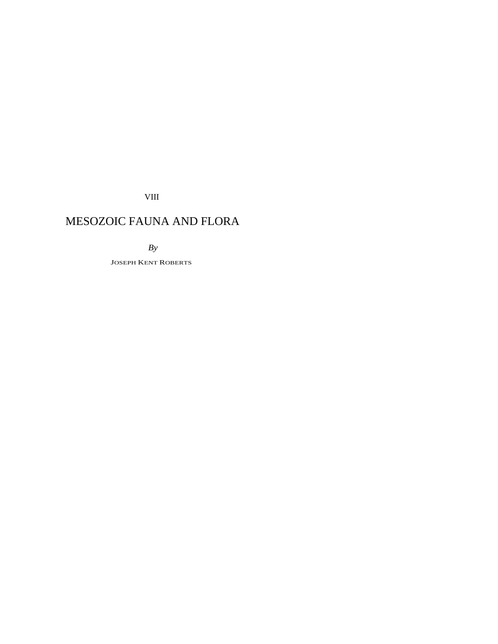VIII

# MESOZOIC FAUNA AND FLORA

*By* 

JOSEPH KENT ROBERTS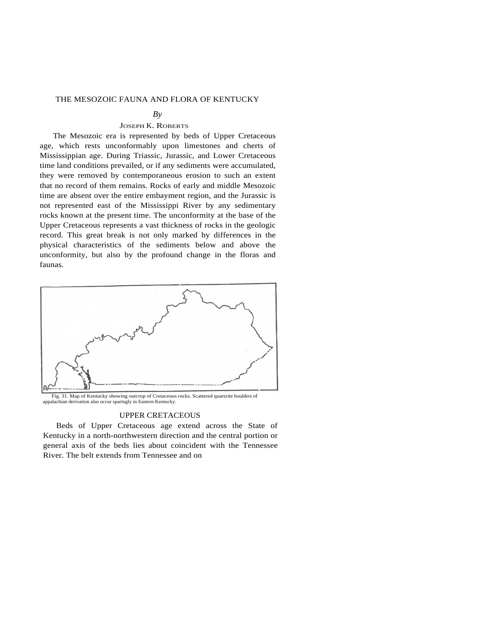### THE MESOZOIC FAUNA AND FLORA OF KENTUCKY

#### $Bv$

## JOSEPH K. ROBERTS

The Mesozoic era is represented by beds of Upper Cretaceous age, which rests unconformably upon limestones and cherts of Mississippian age. During Triassic, Jurassic, and Lower Cretaceous time land conditions prevailed, or if any sediments were accumulated, they were removed by contemporaneous erosion to such an extent that no record of them remains. Rocks of early and middle Mesozoic time are absent over the entire embayment region, and the Jurassic is not represented east of the Mississippi River by any sedimentary rocks known at the present time. The unconformity at the base of the Upper Cretaceous represents a vast thickness of rocks in the geologic record. This great break is not only marked by differences in the physical characteristics of the sediments below and above the unconformity, but also by the profound change in the floras and faunas.



Fig. 31. Map of Kentucky showing outcrop of Cretaceous rocks. Scattered quartzite boulders of appalachian derivation also occur sparingly in Eastern Kentucky.

## UPPER CRETACEOUS

Beds of Upper Cretaceous age extend across the State of Kentucky in a north-northwestern direction and the central portion or general axis of the beds lies about coincident with the Tennessee River. The belt extends from Tennessee and on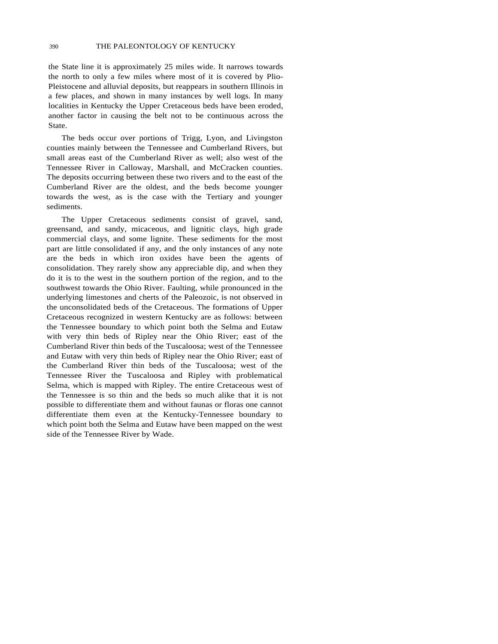the State line it is approximately 25 miles wide. It narrows towards the north to only a few miles where most of it is covered by Plio-Pleistocene and alluvial deposits, but reappears in southern Illinois in a few places, and shown in many instances by well logs. In many localities in Kentucky the Upper Cretaceous beds have been eroded, another factor in causing the belt not to be continuous across the State.

The beds occur over portions of Trigg, Lyon, and Livingston counties mainly between the Tennessee and Cumberland Rivers, but small areas east of the Cumberland River as well; also west of the Tennessee River in Calloway, Marshall, and McCracken counties. The deposits occurring between these two rivers and to the east of the Cumberland River are the oldest, and the beds become younger towards the west, as is the case with the Tertiary and younger sediments.

The Upper Cretaceous sediments consist of gravel, sand, greensand, and sandy, micaceous, and lignitic clays, high grade commercial clays, and some lignite. These sediments for the most part are little consolidated if any, and the only instances of any note are the beds in which iron oxides have been the agents of consolidation. They rarely show any appreciable dip, and when they do it is to the west in the southern portion of the region, and to the southwest towards the Ohio River. Faulting, while pronounced in the underlying limestones and cherts of the Paleozoic, is not observed in the unconsolidated beds of the Cretaceous. The formations of Upper Cretaceous recognized in western Kentucky are as follows: between the Tennessee boundary to which point both the Selma and Eutaw with very thin beds of Ripley near the Ohio River; east of the Cumberland River thin beds of the Tuscaloosa; west of the Tennessee and Eutaw with very thin beds of Ripley near the Ohio River; east of the Cumberland River thin beds of the Tuscaloosa; west of the Tennessee River the Tuscaloosa and Ripley with problematical Selma, which is mapped with Ripley. The entire Cretaceous west of the Tennessee is so thin and the beds so much alike that it is not possible to differentiate them and without faunas or floras one cannot differentiate them even at the Kentucky-Tennessee boundary to which point both the Selma and Eutaw have been mapped on the west side of the Tennessee River by Wade.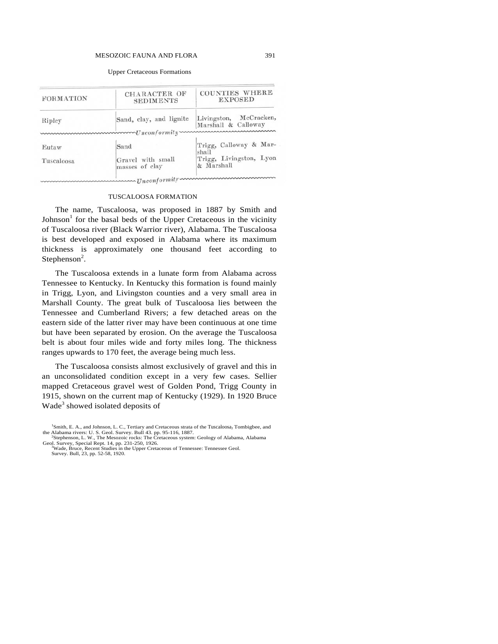#### MESOZOIC FAUNA AND FLORA 391

| FORMATION  | CHARACTER OF<br><b>SEDIMENTS</b>                                                                                                                                                                                                                         | COUNTIES WHERE<br><b>EXPOSED</b>              |
|------------|----------------------------------------------------------------------------------------------------------------------------------------------------------------------------------------------------------------------------------------------------------|-----------------------------------------------|
| Ripley     | Sand, clay, and lignite<br>$m_1$ $m_2$ $m_3$ $m_4$ $m_5$ $m_6$ $m_7$ $m_7$ $m_7$ $m_8$ $m_7$ $m_8$ $m_7$ $m_7$ $m_7$ $m_7$ $m_7$ $m_7$ $m_7$ $m_7$ $m_7$ $m_7$ $m_7$ $m_7$ $m_7$ $m_7$ $m_7$ $m_7$ $m_7$ $m_7$ $m_7$ $m_7$ $m_7$ $m_7$ $m_7$ $m_7$ $m_7$ | Livingston, McCracken,<br>Marshall & Calloway |
|            |                                                                                                                                                                                                                                                          |                                               |
| Eutaw      | Sand                                                                                                                                                                                                                                                     | Trigg, Calloway & Mar-<br>shall               |
| Tuscaloosa | Gravel with small<br>masses of clay                                                                                                                                                                                                                      | Trigg, Livingston, Lyon<br>& Marshall         |

#### Upper Cretaceous Formations

#### TUSCALOOSA FORMATION

The name, Tuscaloosa, was proposed in 1887 by Smith and Johnson<sup>1</sup> for the basal beds of the Upper Cretaceous in the vicinity of Tuscaloosa river (Black Warrior river), Alabama. The Tuscaloosa is best developed and exposed in Alabama where its maximum thickness is approximately one thousand feet according to Stephenson<sup>2</sup>.

The Tuscaloosa extends in a lunate form from Alabama across Tennessee to Kentucky. In Kentucky this formation is found mainly in Trigg, Lyon, and Livingston counties and a very small area in Marshall County. The great bulk of Tuscaloosa lies between the Tennessee and Cumberland Rivers; a few detached areas on the eastern side of the latter river may have been continuous at one time but have been separated by erosion. On the average the Tuscaloosa belt is about four miles wide and forty miles long. The thickness ranges upwards to 170 feet, the average being much less.

The Tuscaloosa consists almost exclusively of gravel and this in an unconsolidated condition except in a very few cases. Sellier mapped Cretaceous gravel west of Golden Pond, Trigg County in 1915, shown on the current map of Kentucky (1929). In 1920 Bruce Wade<sup>3</sup> showed isolated deposits of

<sup>&</sup>lt;sup>1</sup>Smith, E. A., and Johnson, L. C., Tertiary and Cretaceous strata of the Tuscaloosa<sub>J</sub> Tombigbee, and the Alabama rivers: U. S. Geol. Survey. Bull 43. pp. 95-116, 1887. 2

Stephenson, L. W., The Mesozoic rocks: The Cretaceous system: Geology of Alabama, Alabama Geol. Survey, Special Rept. 14, pp. 231-250, 1926.<br><sup>3</sup>Wade, Bruce, Recent Studies in the Upper Cretaceous of Tennessee: Tennessee Geol.

Survey. Bull, 23, pp. 52-58, 1920.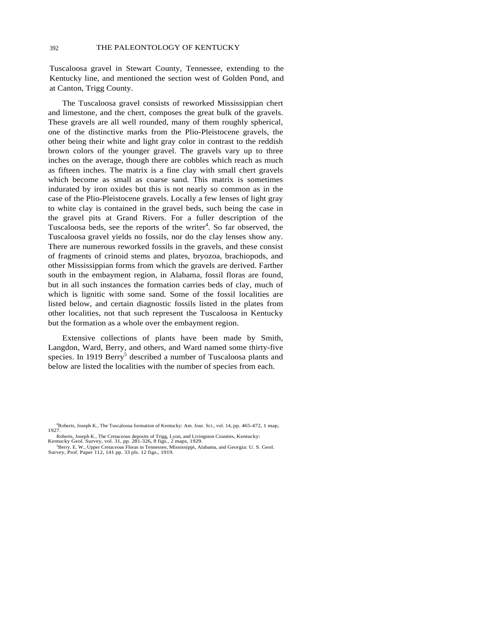Tuscaloosa gravel in Stewart County, Tennessee, extending to the Kentucky line, and mentioned the section west of Golden Pond, and at Canton, Trigg County.

The Tuscaloosa gravel consists of reworked Mississippian chert and limestone, and the chert, composes the great bulk of the gravels. These gravels are all well rounded, many of them roughly spherical, one of the distinctive marks from the Plio-Pleistocene gravels, the other being their white and light gray color in contrast to the reddish brown colors of the younger gravel. The gravels vary up to three inches on the average, though there are cobbles which reach as much as fifteen inches. The matrix is a fine clay with small chert gravels which become as small as coarse sand. This matrix is sometimes indurated by iron oxides but this is not nearly so common as in the case of the Plio-Pleistocene gravels. Locally a few lenses of light gray to white clay is contained in the gravel beds, such being the case in the gravel pits at Grand Rivers. For a fuller description of the Tuscaloosa beds, see the reports of the writer<sup>4</sup>. So far observed, the Tuscaloosa gravel yields no fossils, nor do the clay lenses show any. There are numerous reworked fossils in the gravels, and these consist of fragments of crinoid stems and plates, bryozoa, brachiopods, and other Mississippian forms from which the gravels are derived. Farther south in the embayment region, in Alabama, fossil floras are found, but in all such instances the formation carries beds of clay, much of which is lignitic with some sand. Some of the fossil localities are listed below, and certain diagnostic fossils listed in the plates from other localities, not that such represent the Tuscaloosa in Kentucky but the formation as a whole over the embayment region.

Extensive collections of plants have been made by Smith, Langdon, Ward, Berry, and others, and Ward named some thirty-five species. In 1919 Berry<sup>5</sup> described a number of Tuscaloosa plants and below are listed the localities with the number of species from each.

<sup>4</sup> Roberts, Joseph K., The Tuscaloosa formation of Kentucky: Am. Jour. Sci., vol. 14, pp. 465-472, 1 map, 1927.

Roberts, Joseph K., The Cretaceous deposits of Trigg, Lyon, and Livingston Counties, Kentucky:<br>
Kentucky Geol. Survey, vol. 31, pp. 281-326, 8 figs., 2 maps, 1929.<br>
<sup>5</sup> Porture E.W. Unper Cretaceous Elores in Tannaceoe. Mi

Berry. E. W., Upper Cretaceous Floras in Tennessee, Mississippi, Alabama, and Georgia: U. S. Geol. Survey, Prof. Paper 112, 141 pp. 33 pls. 12 figs., 1919.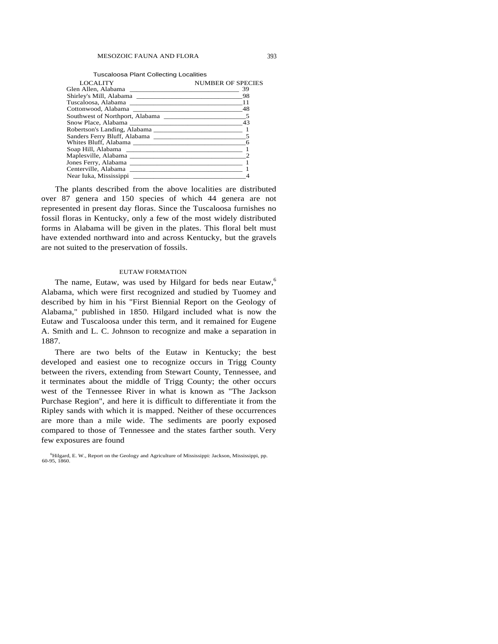| <b>Tuscaloosa Plant Collecting Localities</b> |  |
|-----------------------------------------------|--|
|-----------------------------------------------|--|

| <b>LOCALITY</b>        | NUMBER OF SPECIES |
|------------------------|-------------------|
|                        | 39                |
|                        |                   |
|                        |                   |
|                        |                   |
|                        |                   |
|                        | 43                |
|                        |                   |
|                        |                   |
|                        |                   |
|                        |                   |
| Maplesville, Alabama   |                   |
|                        |                   |
|                        |                   |
| Near Iuka, Mississippi |                   |

The plants described from the above localities are distributed over 87 genera and 150 species of which 44 genera are not represented in present day floras. Since the Tuscaloosa furnishes no fossil floras in Kentucky, only a few of the most widely distributed forms in Alabama will be given in the plates. This floral belt must have extended northward into and across Kentucky, but the gravels are not suited to the preservation of fossils.

#### EUTAW FORMATION

The name, Eutaw, was used by Hilgard for beds near Eutaw,<sup>6</sup> Alabama, which were first recognized and studied by Tuomey and described by him in his "First Biennial Report on the Geology of Alabama," published in 1850. Hilgard included what is now the Eutaw and Tuscaloosa under this term, and it remained for Eugene A. Smith and L. C. Johnson to recognize and make a separation in 1887.

There are two belts of the Eutaw in Kentucky; the best developed and easiest one to recognize occurs in Trigg County between the rivers, extending from Stewart County, Tennessee, and it terminates about the middle of Trigg County; the other occurs west of the Tennessee River in what is known as "The Jackson Purchase Region", and here it is difficult to differentiate it from the Ripley sands with which it is mapped. Neither of these occurrences are more than a mile wide. The sediments are poorly exposed compared to those of Tennessee and the states farther south. Very few exposures are found

<sup>6</sup> Hilgard, E. W., Report on the Geology and Agriculture of Mississippi: Jackson, Mississippi, pp. 60-95, 1860.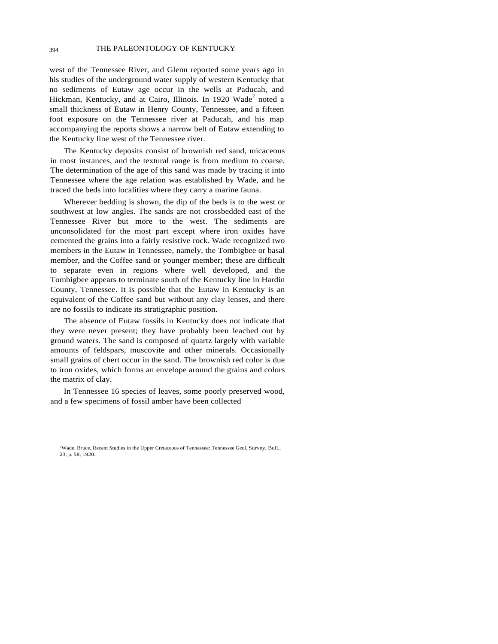west of the Tennessee River, and Glenn reported some years ago in his studies of the underground water supply of western Kentucky that no sediments of Eutaw age occur in the wells at Paducah, and Hickman, Kentucky, and at Cairo, Illinois. In 1920 Wade<sup>7</sup> noted a small thickness of Eutaw in Henry County, Tennessee, and a fifteen foot exposure on the Tennessee river at Paducah, and his map accompanying the reports shows a narrow belt of Eutaw extending to the Kentucky line west of the Tennessee river.

The Kentucky deposits consist of brownish red sand, micaceous in most instances, and the textural range is from medium to coarse. The determination of the age of this sand was made by tracing it into Tennessee where the age relation was established by Wade, and he traced the beds into localities where they carry a marine fauna.

Wherever bedding is shown, the dip of the beds is to the west or southwest at low angles. The sands are not crossbedded east of the Tennessee River but more to the west. The sediments are unconsolidated for the most part except where iron oxides have cemented the grains into a fairly resistive rock. Wade recognized two members in the Eutaw in Tennessee, namely, the Tombigbee or basal member, and the Coffee sand or younger member; these are difficult to separate even in regions where well developed, and the Tombigbee appears to terminate south of the Kentucky line in Hardin County, Tennessee. It is possible that the Eutaw in Kentucky is an equivalent of the Coffee sand but without any clay lenses, and there are no fossils to indicate its stratigraphic position.

The absence of Eutaw fossils in Kentucky does not indicate that they were never present; they have probably been leached out by ground waters. The sand is composed of quartz largely with variable amounts of feldspars, muscovite and other minerals. Occasionally small grains of chert occur in the sand. The brownish red color is due to iron oxides, which forms an envelope around the grains and colors the matrix of clay.

In Tennessee 16 species of leaves, some poorly preserved wood, and a few specimens of fossil amber have been collected

<sup>7</sup> Wade. Bruce, Recent Studies in the Upper Cretaceous of Tennessee: Tennessee Geol. Survey, Bull., 23, p. 58, 1920.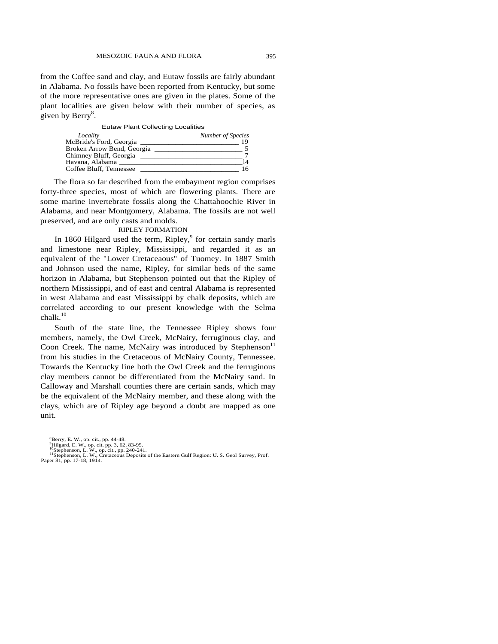from the Coffee sand and clay, and Eutaw fossils are fairly abundant in Alabama. No fossils have been reported from Kentucky, but some of the more representative ones are given in the plates. Some of the plant localities are given below with their number of species, as given by  $\text{Berry}^8$ .

#### Eutaw Plant Collecting Localities

| Locality                   | Number of Species |
|----------------------------|-------------------|
| McBride's Ford, Georgia    |                   |
| Broken Arrow Bend, Georgia |                   |
| Chimney Bluff, Georgia     |                   |
| Havana, Alabama            |                   |
| Coffee Bluff, Tennessee    |                   |

The flora so far described from the embayment region comprises forty-three species, most of which are flowering plants. There are some marine invertebrate fossils along the Chattahoochie River in Alabama, and near Montgomery, Alabama. The fossils are not well preserved, and are only casts and molds.

#### RIPLEY FORMATION

In 1860 Hilgard used the term, Ripley,<sup>9</sup> for certain sandy marls and limestone near Ripley, Mississippi, and regarded it as an equivalent of the "Lower Cretaceaous" of Tuomey. In 1887 Smith and Johnson used the name, Ripley, for similar beds of the same horizon in Alabama, but Stephenson pointed out that the Ripley of northern Mississippi, and of east and central Alabama is represented in west Alabama and east Mississippi by chalk deposits, which are correlated according to our present knowledge with the Selma  $chalk<sup>10</sup>$ 

South of the state line, the Tennessee Ripley shows four members, namely, the Owl Creek, McNairy, ferruginous clay, and Coon Creek. The name, McNairy was introduced by Stephenson<sup>11</sup> from his studies in the Cretaceous of McNairy County, Tennessee. Towards the Kentucky line both the Owl Creek and the ferruginous clay members cannot be differentiated from the McNairy sand. In Calloway and Marshall counties there are certain sands, which may be the equivalent of the McNairy member, and these along with the clays, which are of Ripley age beyond a doubt are mapped as one unit.

<sup>8</sup> Berry, E. W., op. cit., pp. 44-48.

<sup>&</sup>lt;sup>9</sup>Hilgard, E. W., op. cit. pp. 3, 62, 83-95.<br><sup>10</sup>Stephenson, L. W., op. cit., pp. 240-241.<br><sup>11</sup>Stephenson, L. W., Cretaceous Deposits of the Eastern Gulf Region: U. S. Geol Survey, Prof. Paper 81, pp. 17-18, 1914.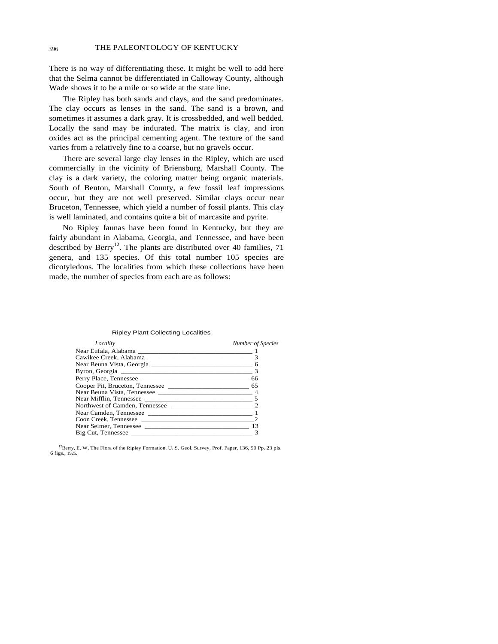### 396 THE PALEONTOLOGY OF KENTUCKY

There is no way of differentiating these. It might be well to add here that the Selma cannot be differentiated in Calloway County, although Wade shows it to be a mile or so wide at the state line.

The Ripley has both sands and clays, and the sand predominates. The clay occurs as lenses in the sand. The sand is a brown, and sometimes it assumes a dark gray. It is crossbedded, and well bedded. Locally the sand may be indurated. The matrix is clay, and iron oxides act as the principal cementing agent. The texture of the sand varies from a relatively fine to a coarse, but no gravels occur.

There are several large clay lenses in the Ripley, which are used commercially in the vicinity of Briensburg, Marshall County. The clay is a dark variety, the coloring matter being organic materials. South of Benton, Marshall County, a few fossil leaf impressions occur, but they are not well preserved. Similar clays occur near Bruceton, Tennessee, which yield a number of fossil plants. This clay is well laminated, and contains quite a bit of marcasite and pyrite.

No Ripley faunas have been found in Kentucky, but they are fairly abundant in Alabama, Georgia, and Tennessee, and have been described by Berry<sup>12</sup>. The plants are distributed over 40 families, 71 genera, and 135 species. Of this total number 105 species are dicotyledons. The localities from which these collections have been made, the number of species from each are as follows:

#### Ripley Plant Collecting Localities

| Locality                             | Number of Species |
|--------------------------------------|-------------------|
|                                      |                   |
|                                      |                   |
|                                      | 6                 |
|                                      |                   |
|                                      |                   |
| Cooper Pit, Bruceton, Tennessee      |                   |
|                                      |                   |
|                                      |                   |
|                                      |                   |
|                                      |                   |
| Coon Creek, Tennessee                |                   |
| Near Selmer, Tennessee 2008. [13] 13 |                   |
|                                      |                   |

 $12$ Berry, E. W, The Flora of the Ripley Formation. U. S. Geol. Survey, Prof. Paper, 136, 90 Pp. 23 pls. 6 figs., 1925*.*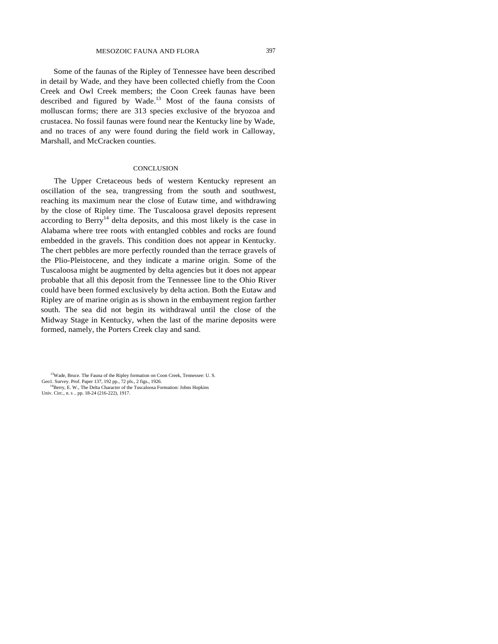Some of the faunas of the Ripley of Tennessee have been described in detail by Wade, and they have been collected chiefly from the Coon Creek and Owl Creek members; the Coon Creek faunas have been described and figured by Wade. $13$  Most of the fauna consists of molluscan forms; there are 313 species exclusive of the bryozoa and crustacea. No fossil faunas were found near the Kentucky line by Wade, and no traces of any were found during the field work in Calloway, Marshall, and McCracken counties.

#### **CONCLUSION**

The Upper Cretaceous beds of western Kentucky represent an oscillation of the sea, trangressing from the south and southwest, reaching its maximum near the close of Eutaw time, and withdrawing by the close of Ripley time. The Tuscaloosa gravel deposits represent according to Berry<sup>14</sup> delta deposits, and this most likely is the case in Alabama where tree roots with entangled cobbles and rocks are found embedded in the gravels. This condition does not appear in Kentucky. The chert pebbles are more perfectly rounded than the terrace gravels of the Plio-Pleistocene, and they indicate a marine origin. Some of the Tuscaloosa might be augmented by delta agencies but it does not appear probable that all this deposit from the Tennessee line to the Ohio River could have been formed exclusively by delta action. Both the Eutaw and Ripley are of marine origin as is shown in the embayment region farther south. The sea did not begin its withdrawal until the close of the Midway Stage in Kentucky, when the last of the marine deposits were formed, namely, the Porters Creek clay and sand.

<sup>&</sup>lt;sup>13</sup>Wade, Bruce. The Fauna of the Ripley formation on Coon Creek, Tennessee: U.S. Geo1. Survey. Prof. Paper 137, 192 pp., 72 pls., 2 figs., 1926.

<sup>&</sup>lt;sup>14</sup>Berry, E. W., The Delta Character of the Tuscaloosa Formation: Johns Hopkins Univ. Circ., n. s .. pp. 18-24 (216-222), 1917.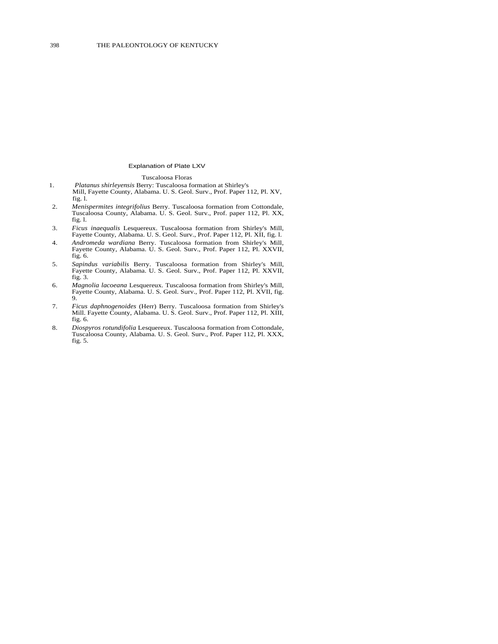#### Explanation of Plate LXV

#### Tuscaloosa Floras

- 1. *Platanus shirleyensis* Berry: Tuscaloosa formation at Shirley's Mill, Fayette County, Alabama. U. S. Geol. Surv., Prof. Paper 112, Pl. XV, fig. l.
- 2. *Menispermites integrifolius* Berry. Tuscaloosa formation from Cottondale, Tuscaloosa County, Alabama. U. S. Geol. Surv., Prof. paper 112, Pl. XX, fig. l.
- 3. *Ficus inaequalis* Lesquereux. Tuscaloosa formation from Shirley's Mill, Fayette County, Alabama. U. S. Geol. Surv., Prof. Paper 112, Pl. XII, fig. l.
- 4. *Andromeda wardiana* Berry. Tuscaloosa formation from Shirley's Mill, Fayette County, Alabama. U. S. Geol. Surv., Prof. Paper 112, Pl. XXVII, fig. 6.
- 5. *Sapindus variabilis* Berry. Tuscaloosa formation from Shirley's Mill, Fayette County, Alabama. U. S. Geol. Surv., Prof. Paper 112, Pl. XXVII, fig. 3.
- 6. *Magnolia lacoeana* Lesquereux. Tuscaloosa formation from Shirley's Mill, Fayette County, Alabama. U. S. Geol. Surv., Prof. Paper 112, Pl. XVII, fig. 9.
- 7. *Ficus daphnogenoides* (Herr) Berry. Tuscaloosa formation from Shirley's Mill. Fayette County, Alabama. U. S. Geol. Surv., Prof. Paper 112, Pl. XIII, fig. 6.
- 8. *Diospyros rotundifolia* Lesquereux. Tuscaloosa formation from Cottondale, Tuscaloosa County, Alabama. U. S. Geol. Surv., Prof. Paper 112, Pl. XXX, fig. 5.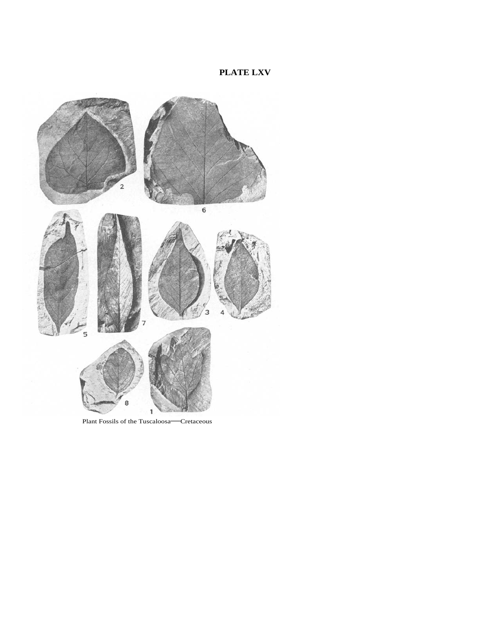## **PLATE LXV**



Plant Fossils of the Tuscaloosa—Cretaceous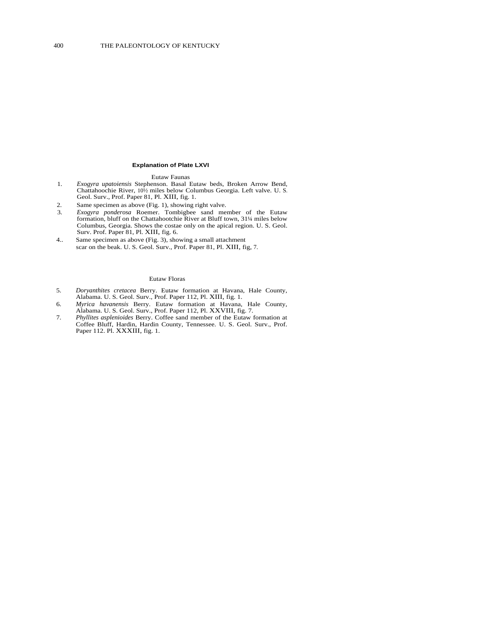#### **Explanation of Plate LXVI**

#### Eutaw Faunas

- 1. *Exogyra upatoiensis* Stephenson. Basal Eutaw beds, Broken Arrow Bend, Chattahoochie River, 10½ miles below Columbus Georgia. Left valve. U. S. Geol. Surv., Prof. Paper 81, Pl. XIII, fig. 1.
- 2. Same specimen as above (Fig. 1), showing right valve.
- 3. *Exogyra ponderosa* Roemer. Tombigbee sand member of the Eutaw formation, bluff on the Chattahootchie River at Bluff town, 31¼ miles below Columbus, Georgia. Shows the costae only on the apical region. U. S. Geol. Surv. Prof. Paper 81, Pl. XIII, fig. 6.
- 4.. Same specimen as above (Fig. 3), showing a small attachment scar on the beak. U. S. Geol. Surv., Prof. Paper 81, Pl. XIII, fig, 7.

#### Eutaw Floras

- 5. *Doryanthites cretacea* Berry. Eutaw formation at Havana, Hale County, Alabama. U. S. Geol. Surv., Prof. Paper 112, Pl. XIII, fig. 1.
- 6. *Myrica havanensis* Berry. Eutaw formation at Havana, Hale County, Alabama. U. S. Geol. Surv., Prof. Paper 112, Pl. XXVIII, fig. 7.
- 7. *Phyllites asplenioides* Berry. Coffee sand member of the Eutaw formation at Coffee Bluff, Hardin, Hardin County, Tennessee. U. S. Geol. Surv., Prof. Paper 112. Pl. XXXIII, fig. 1.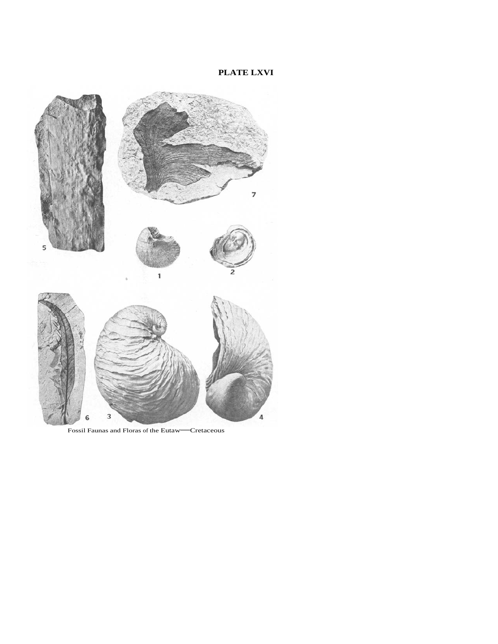## **PLATE LXVI**



Fossil Faunas and Floras of the Eutaw—Cretaceous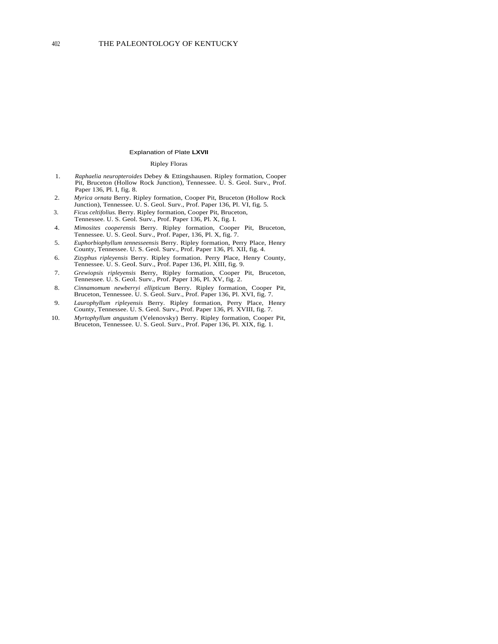#### Explanation of Plate **LXVII**

#### Ripley Floras

- 1. *Raphaelia neuropteroides* Debey & Ettingshausen. Ripley formation, Cooper Pit, Bruceton (Hollow Rock Junction), Tennessee. U. S. Geol. Surv., Prof. Paper 136, Pl. I, fig. 8.
- 2. *Myrica ornata* Berry. Ripley formation, Cooper Pit, Bruceton (Hollow Rock Junction), Tennessee. U. S. Geol. Surv., Prof. Paper 136, Pl. VI, fig. 5.
- 3. *Ficus celtifolius.* Berry. Ripley formation, Cooper Pit, Bruceton, Tennessee. U. S. Geol. Surv., Prof. Paper 136, Pl. X, fig. I.
- 4. *Mimosites cooperensis* Berry. Ripley formation, Cooper Pit, Bruceton, Tennessee. U. S. Geol. Surv., Prof. Paper, 136, Pl. X, fig. 7.
- 5. *Euphorbiophyllum tennesseensis* Berry. Ripley formation, Perry Place, Henry County, Tennessee. U. S. Geol. Surv., Prof. Paper 136, Pl. XII, fig. 4.
- 6. *Zizyphus ripleyensis* Berry. Ripley formation. Perry Place, Henry County, Tennessee. U. S. GeoI. Surv., Prof. Paper 136, Pl. XIII, fig. 9.
- 7. *Grewiopsis ripleyensis* Berry, Ripley formation, Cooper Pit, Bruceton, Tennessee. U. S. Geol. Surv., Prof. Paper 136, Pl. XV, fig. 2.
- 8. *Cinnamomum newberryi ellipticum* Berry. Ripley formation, Cooper Pit, Bruceton, Tennessee. U. S. Geol. Surv., Prof. Paper 136, Pl. XVI, fig. 7.
- 9. *Laurophyllum ripleyensis* Berry. Ripley formation, Perry Place, Henry County, Tennessee. U. S. Geol. Surv., Prof. Paper 136, Pl. XVIII, fig. 7.
- 10. *Myrtophyllum angustum* (Velenovsky) Berry. Ripley formation, Cooper Pit, Bruceton, Tennessee. U. S. Geol. Surv., Prof. Paper 136, Pl. XIX, fig. 1.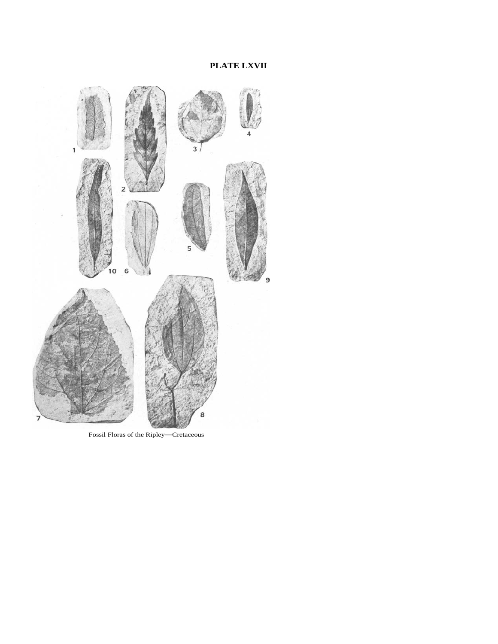

Fossil Floras of the Ripley—Cretaceous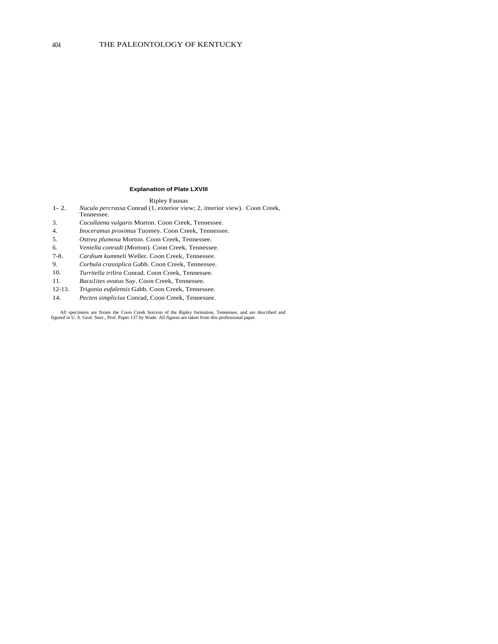#### **Explanation of Plate LXVIII**

#### Ripley Faunas

- 1- 2. *Nucula percrassa* Conrad (1, exterior view; 2, interior view). Coon Creek, Tennessee.
- 3. *Cucullaena vulgaris* Morton. Coon Creek, Tennessee.
- 4. *Inoceramus proximus* Tuomey. Coon Creek, Tennessee.
- 5. *Ostrea plumosa* Morton. Coon Creek, Tennessee.
- 6. *Veniella conradi* (Morton). Coon Creek, Tennessee.
- 7-8. *Cardium kummeli* Weller. Coon Creek, Tennessee.
- 9. *Corbula crassiplica* Gabb. Coon Creek, Tennessee.
- 10. *Turritella trilira* Conrad. Coon Creek, Tennessee.
- 11. *Bacu1ites ovatus* Say. Coon Creek, Tennessee.
- 12-13. *Trigonia eufalensis* Gabb. Coon Creek, Tennessee.
- 14. *Pecten simplicius* Conrad, Coon Creek, Tennessee.

All specimens are from the Coon Creek horizon of the Ripley formation, Tennessee, and are described and figured in U. S. Geol. Surv., Prof. Paper 137 by Wade. All figures are taken from this professional paper.